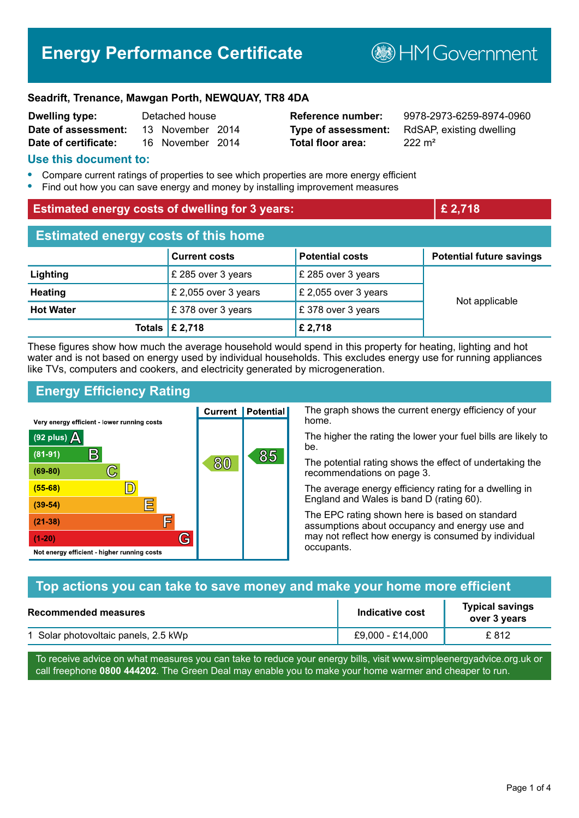# **Energy Performance Certificate**

**B**HMGovernment

#### **Seadrift, Trenance, Mawgan Porth, NEWQUAY, TR8 4DA**

| <b>Dwelling type:</b> | Detached house |                  |  |
|-----------------------|----------------|------------------|--|
| Date of assessment:   |                | 13 November 2014 |  |
| Date of certificate:  |                | 16 November 2014 |  |

**Total floor area:** 222 m<sup>2</sup>

**Reference number:** 9978-2973-6259-8974-0960 **Type of assessment:** RdSAP, existing dwelling

#### **Use this document to:**

- **•** Compare current ratings of properties to see which properties are more energy efficient
- **•** Find out how you can save energy and money by installing improvement measures

| <b>Estimated energy costs of dwelling for 3 years:</b> |                           |                        | £ 2,718                         |  |
|--------------------------------------------------------|---------------------------|------------------------|---------------------------------|--|
| <b>Estimated energy costs of this home</b>             |                           |                        |                                 |  |
|                                                        | <b>Current costs</b>      | <b>Potential costs</b> | <b>Potential future savings</b> |  |
| Lighting                                               | £ 285 over 3 years        | £ 285 over 3 years     |                                 |  |
| <b>Heating</b>                                         | £ 2,055 over 3 years      | £ 2,055 over 3 years   | Not applicable                  |  |
| <b>Hot Water</b>                                       | £ 378 over 3 years        | £ 378 over 3 years     |                                 |  |
|                                                        | Totals $\mathsf{E}$ 2,718 | £ 2,718                |                                 |  |

These figures show how much the average household would spend in this property for heating, lighting and hot water and is not based on energy used by individual households. This excludes energy use for running appliances like TVs, computers and cookers, and electricity generated by microgeneration.

## **Energy Efficiency Rating**

The graph shows the current energy efficiency of your **Current | Potential** home. Very energy efficient - lower running costs The higher the rating the lower your fuel bills are likely to (92 plus)  $\Delta$ be.  $\mathsf{B}$  $(81 - 91)$ 85 80 The potential rating shows the effect of undertaking the  $(69 - 80)$  $\mathbb{C}$ recommendations on page 3.  $\mathbb{D}$  $(55 - 68)$ The average energy efficiency rating for a dwelling in England and Wales is band D (rating 60). 扈  $(39 - 54)$ The EPC rating shown here is based on standard F  $(21-38)$ assumptions about occupancy and energy use and G may not reflect how energy is consumed by individual  $(1-20)$ occupants. Not energy efficient - higher running costs

| Top actions you can take to save money and make your home more efficient |                  |                                        |
|--------------------------------------------------------------------------|------------------|----------------------------------------|
| Recommended measures                                                     | Indicative cost  | <b>Typical savings</b><br>over 3 years |
| 1 Solar photovoltaic panels, 2.5 kWp                                     | £9,000 - £14,000 | £812                                   |

To receive advice on what measures you can take to reduce your energy bills, visit www.simpleenergyadvice.org.uk or call freephone **0800 444202**. The Green Deal may enable you to make your home warmer and cheaper to run.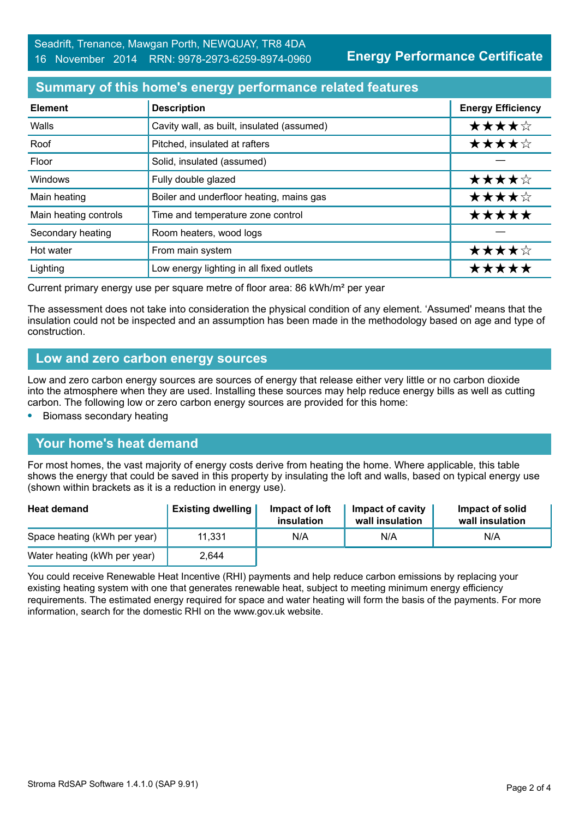**Energy Performance Certificate**

## **Summary of this home's energy performance related features**

| <b>Element</b>        | <b>Description</b>                         | <b>Energy Efficiency</b> |
|-----------------------|--------------------------------------------|--------------------------|
| Walls                 | Cavity wall, as built, insulated (assumed) | ★★★★☆                    |
| Roof                  | Pitched, insulated at rafters              | ★★★★☆                    |
| Floor                 | Solid, insulated (assumed)                 |                          |
| Windows               | Fully double glazed                        | ★★★★☆                    |
| Main heating          | Boiler and underfloor heating, mains gas   | ★★★★☆                    |
| Main heating controls | Time and temperature zone control          | *****                    |
| Secondary heating     | Room heaters, wood logs                    |                          |
| Hot water             | From main system                           | ★★★★☆                    |
| Lighting              | Low energy lighting in all fixed outlets   | *****                    |

Current primary energy use per square metre of floor area: 86 kWh/m² per year

The assessment does not take into consideration the physical condition of any element. 'Assumed' means that the insulation could not be inspected and an assumption has been made in the methodology based on age and type of construction.

### **Low and zero carbon energy sources**

Low and zero carbon energy sources are sources of energy that release either very little or no carbon dioxide into the atmosphere when they are used. Installing these sources may help reduce energy bills as well as cutting carbon. The following low or zero carbon energy sources are provided for this home:

**•** Biomass secondary heating

### **Your home's heat demand**

For most homes, the vast majority of energy costs derive from heating the home. Where applicable, this table shows the energy that could be saved in this property by insulating the loft and walls, based on typical energy use (shown within brackets as it is a reduction in energy use).

| <b>Heat demand</b>           | <b>Existing dwelling</b> | Impact of loft<br>insulation | Impact of cavity<br>wall insulation | Impact of solid<br>wall insulation |
|------------------------------|--------------------------|------------------------------|-------------------------------------|------------------------------------|
| Space heating (kWh per year) | 11,331                   | N/A                          | N/A                                 | N/A                                |
| Water heating (kWh per year) | 2,644                    |                              |                                     |                                    |

You could receive Renewable Heat Incentive (RHI) payments and help reduce carbon emissions by replacing your existing heating system with one that generates renewable heat, subject to meeting minimum energy efficiency requirements. The estimated energy required for space and water heating will form the basis of the payments. For more information, search for the domestic RHI on the www.gov.uk website.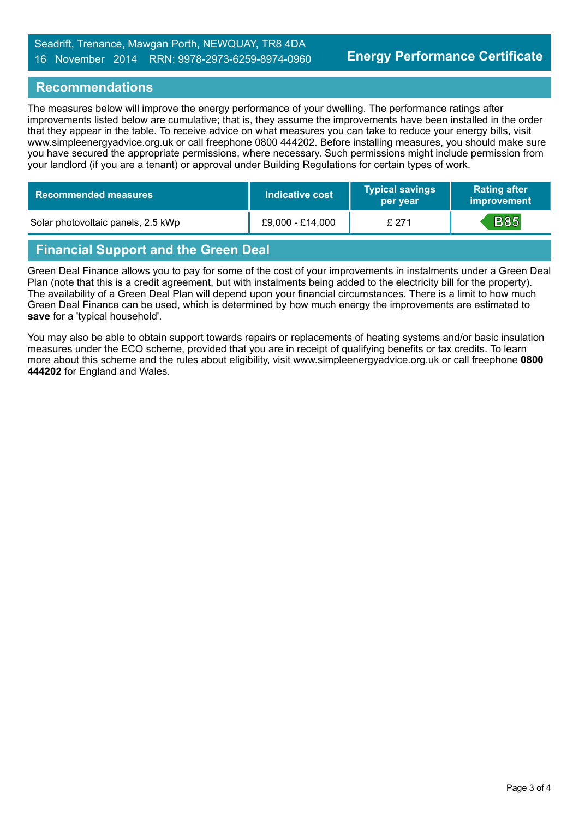### Seadrift, Trenance, Mawgan Porth, NEWQUAY, TR8 4DA 16 November 2014 RRN: 9978-2973-6259-8974-0960

## **Recommendations**

The measures below will improve the energy performance of your dwelling. The performance ratings after improvements listed below are cumulative; that is, they assume the improvements have been installed in the order that they appear in the table. To receive advice on what measures you can take to reduce your energy bills, visit www.simpleenergyadvice.org.uk or call freephone 0800 444202. Before installing measures, you should make sure you have secured the appropriate permissions, where necessary. Such permissions might include permission from your landlord (if you are a tenant) or approval under Building Regulations for certain types of work.

| <b>Recommended measures</b>        | Indicative cost  | <b>Typical savings</b><br>per year | <b>Rating after</b><br>improvement |
|------------------------------------|------------------|------------------------------------|------------------------------------|
| Solar photovoltaic panels, 2.5 kWp | £9,000 - £14,000 | £ 271                              | <b>B85</b>                         |

## **Financial Support and the Green Deal**

Green Deal Finance allows you to pay for some of the cost of your improvements in instalments under a Green Deal Plan (note that this is a credit agreement, but with instalments being added to the electricity bill for the property). The availability of a Green Deal Plan will depend upon your financial circumstances. There is a limit to how much Green Deal Finance can be used, which is determined by how much energy the improvements are estimated to **save** for a 'typical household'.

You may also be able to obtain support towards repairs or replacements of heating systems and/or basic insulation measures under the ECO scheme, provided that you are in receipt of qualifying benefits or tax credits. To learn more about this scheme and the rules about eligibility, visit www.simpleenergyadvice.org.uk or call freephone **0800 444202** for England and Wales.